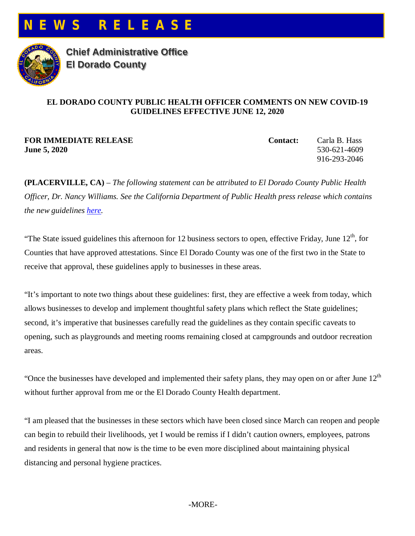



**Chief Administrative Office El Dorado County**

## **EL DORADO COUNTY PUBLIC HEALTH OFFICER COMMENTS ON NEW COVID-19 GUIDELINES EFFECTIVE JUNE 12, 2020**

**FOR IMMEDIATE RELEASE Contact:** Carla B. Hass **June 5, 2020** 530-621-4609

916-293-2046

**(PLACERVILLE, CA)** – *The following statement can be attributed to El Dorado County Public Health Officer, Dr. Nancy Williams. See the California Department of Public Health press release which contains the new guidelines [here.](https://www.cdph.ca.gov/Programs/OPA/Pages/NR20-113.aspx)* 

"The State issued guidelines this afternoon for 12 business sectors to open, effective Friday, June  $12<sup>th</sup>$ , for Counties that have approved attestations. Since El Dorado County was one of the first two in the State to receive that approval, these guidelines apply to businesses in these areas.

"It's important to note two things about these guidelines: first, they are effective a week from today, which allows businesses to develop and implement thoughtful safety plans which reflect the State guidelines; second, it's imperative that businesses carefully read the guidelines as they contain specific caveats to opening, such as playgrounds and meeting rooms remaining closed at campgrounds and outdoor recreation areas.

"Once the businesses have developed and implemented their safety plans, they may open on or after June  $12<sup>th</sup>$ without further approval from me or the El Dorado County Health department.

"I am pleased that the businesses in these sectors which have been closed since March can reopen and people can begin to rebuild their livelihoods, yet I would be remiss if I didn't caution owners, employees, patrons and residents in general that now is the time to be even more disciplined about maintaining physical distancing and personal hygiene practices.